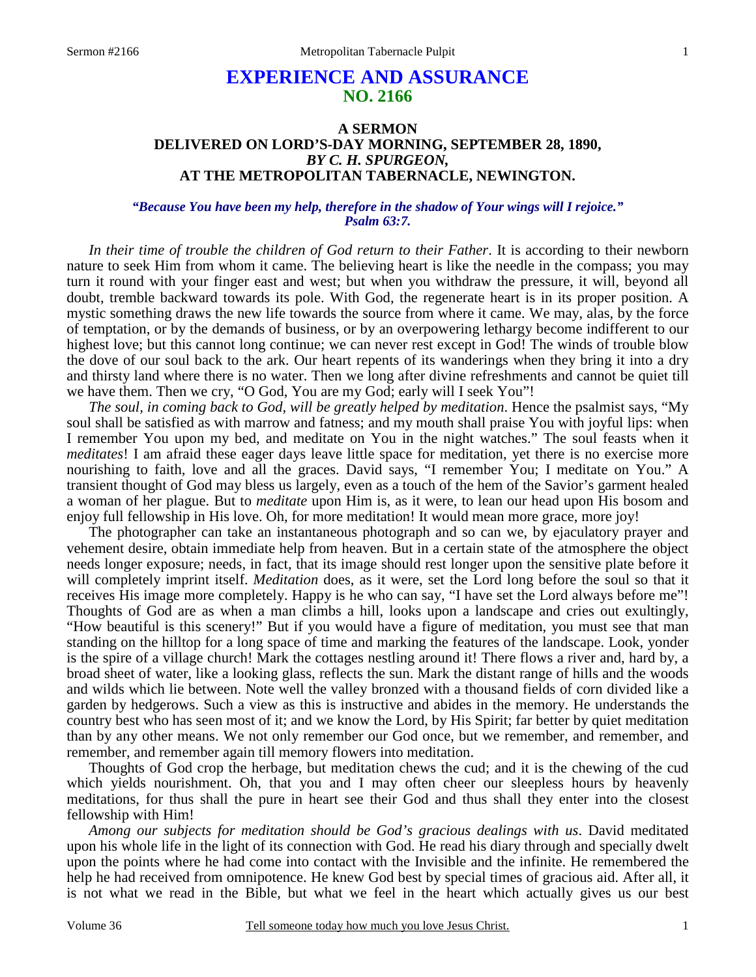# **EXPERIENCE AND ASSURANCE NO. 2166**

# **A SERMON DELIVERED ON LORD'S-DAY MORNING, SEPTEMBER 28, 1890,**  *BY C. H. SPURGEON,*  **AT THE METROPOLITAN TABERNACLE, NEWINGTON.**

#### *"Because You have been my help, therefore in the shadow of Your wings will I rejoice." Psalm 63:7.*

*In their time of trouble the children of God return to their Father*. It is according to their newborn nature to seek Him from whom it came. The believing heart is like the needle in the compass; you may turn it round with your finger east and west; but when you withdraw the pressure, it will, beyond all doubt, tremble backward towards its pole. With God, the regenerate heart is in its proper position. A mystic something draws the new life towards the source from where it came. We may, alas, by the force of temptation, or by the demands of business, or by an overpowering lethargy become indifferent to our highest love; but this cannot long continue; we can never rest except in God! The winds of trouble blow the dove of our soul back to the ark. Our heart repents of its wanderings when they bring it into a dry and thirsty land where there is no water. Then we long after divine refreshments and cannot be quiet till we have them. Then we cry, "O God, You are my God; early will I seek You"!

*The soul, in coming back to God, will be greatly helped by meditation*. Hence the psalmist says, "My soul shall be satisfied as with marrow and fatness; and my mouth shall praise You with joyful lips: when I remember You upon my bed, and meditate on You in the night watches." The soul feasts when it *meditates*! I am afraid these eager days leave little space for meditation, yet there is no exercise more nourishing to faith, love and all the graces. David says, "I remember You; I meditate on You." A transient thought of God may bless us largely, even as a touch of the hem of the Savior's garment healed a woman of her plague. But to *meditate* upon Him is, as it were, to lean our head upon His bosom and enjoy full fellowship in His love. Oh, for more meditation! It would mean more grace, more joy!

 The photographer can take an instantaneous photograph and so can we, by ejaculatory prayer and vehement desire, obtain immediate help from heaven. But in a certain state of the atmosphere the object needs longer exposure; needs, in fact, that its image should rest longer upon the sensitive plate before it will completely imprint itself. *Meditation* does, as it were, set the Lord long before the soul so that it receives His image more completely. Happy is he who can say, "I have set the Lord always before me"! Thoughts of God are as when a man climbs a hill, looks upon a landscape and cries out exultingly, "How beautiful is this scenery!" But if you would have a figure of meditation, you must see that man standing on the hilltop for a long space of time and marking the features of the landscape. Look, yonder is the spire of a village church! Mark the cottages nestling around it! There flows a river and, hard by, a broad sheet of water, like a looking glass, reflects the sun. Mark the distant range of hills and the woods and wilds which lie between. Note well the valley bronzed with a thousand fields of corn divided like a garden by hedgerows. Such a view as this is instructive and abides in the memory. He understands the country best who has seen most of it; and we know the Lord, by His Spirit; far better by quiet meditation than by any other means. We not only remember our God once, but we remember, and remember, and remember, and remember again till memory flowers into meditation.

 Thoughts of God crop the herbage, but meditation chews the cud; and it is the chewing of the cud which yields nourishment. Oh, that you and I may often cheer our sleepless hours by heavenly meditations, for thus shall the pure in heart see their God and thus shall they enter into the closest fellowship with Him!

*Among our subjects for meditation should be God's gracious dealings with us*. David meditated upon his whole life in the light of its connection with God. He read his diary through and specially dwelt upon the points where he had come into contact with the Invisible and the infinite. He remembered the help he had received from omnipotence. He knew God best by special times of gracious aid. After all, it is not what we read in the Bible, but what we feel in the heart which actually gives us our best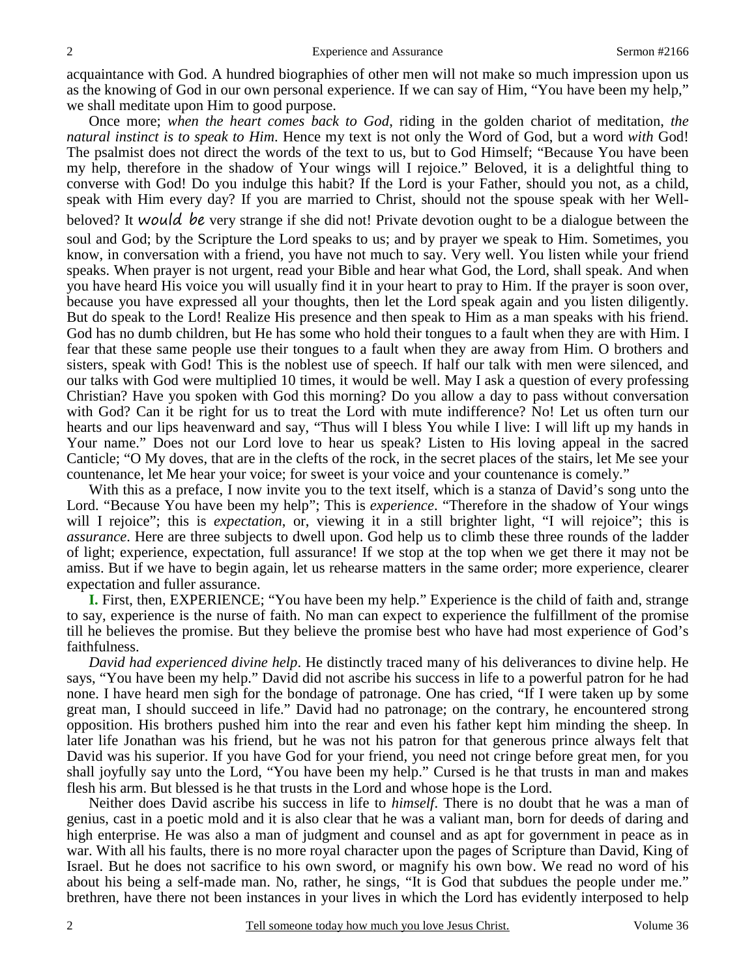acquaintance with God. A hundred biographies of other men will not make so much impression upon us as the knowing of God in our own personal experience. If we can say of Him, "You have been my help," we shall meditate upon Him to good purpose.

 Once more; *when the heart comes back to God*, riding in the golden chariot of meditation, *the natural instinct is to speak to Him*. Hence my text is not only the Word of God, but a word *with* God! The psalmist does not direct the words of the text to us, but to God Himself; "Because You have been my help, therefore in the shadow of Your wings will I rejoice." Beloved, it is a delightful thing to converse with God! Do you indulge this habit? If the Lord is your Father, should you not, as a child, speak with Him every day? If you are married to Christ, should not the spouse speak with her Wellbeloved? It would be very strange if she did not! Private devotion ought to be a dialogue between the soul and God; by the Scripture the Lord speaks to us; and by prayer we speak to Him. Sometimes, you know, in conversation with a friend, you have not much to say. Very well. You listen while your friend speaks. When prayer is not urgent, read your Bible and hear what God, the Lord, shall speak. And when you have heard His voice you will usually find it in your heart to pray to Him. If the prayer is soon over, because you have expressed all your thoughts, then let the Lord speak again and you listen diligently. But do speak to the Lord! Realize His presence and then speak to Him as a man speaks with his friend. God has no dumb children, but He has some who hold their tongues to a fault when they are with Him. I fear that these same people use their tongues to a fault when they are away from Him. O brothers and sisters, speak with God! This is the noblest use of speech. If half our talk with men were silenced, and our talks with God were multiplied 10 times, it would be well. May I ask a question of every professing Christian? Have you spoken with God this morning? Do you allow a day to pass without conversation with God? Can it be right for us to treat the Lord with mute indifference? No! Let us often turn our hearts and our lips heavenward and say, "Thus will I bless You while I live: I will lift up my hands in Your name." Does not our Lord love to hear us speak? Listen to His loving appeal in the sacred Canticle; "O My doves, that are in the clefts of the rock, in the secret places of the stairs, let Me see your countenance, let Me hear your voice; for sweet is your voice and your countenance is comely."

 With this as a preface, I now invite you to the text itself, which is a stanza of David's song unto the Lord. "Because You have been my help"; This is *experience*. "Therefore in the shadow of Your wings will I rejoice"; this is *expectation*, or, viewing it in a still brighter light, "I will rejoice"; this is *assurance*. Here are three subjects to dwell upon. God help us to climb these three rounds of the ladder of light; experience, expectation, full assurance! If we stop at the top when we get there it may not be amiss. But if we have to begin again, let us rehearse matters in the same order; more experience, clearer expectation and fuller assurance.

**I.** First, then, EXPERIENCE; "You have been my help." Experience is the child of faith and, strange to say, experience is the nurse of faith. No man can expect to experience the fulfillment of the promise till he believes the promise. But they believe the promise best who have had most experience of God's faithfulness.

 *David had experienced divine help*. He distinctly traced many of his deliverances to divine help. He says, "You have been my help." David did not ascribe his success in life to a powerful patron for he had none. I have heard men sigh for the bondage of patronage. One has cried, "If I were taken up by some great man, I should succeed in life." David had no patronage; on the contrary, he encountered strong opposition. His brothers pushed him into the rear and even his father kept him minding the sheep. In later life Jonathan was his friend, but he was not his patron for that generous prince always felt that David was his superior. If you have God for your friend, you need not cringe before great men, for you shall joyfully say unto the Lord, "You have been my help." Cursed is he that trusts in man and makes flesh his arm. But blessed is he that trusts in the Lord and whose hope is the Lord.

 Neither does David ascribe his success in life to *himself*. There is no doubt that he was a man of genius, cast in a poetic mold and it is also clear that he was a valiant man, born for deeds of daring and high enterprise. He was also a man of judgment and counsel and as apt for government in peace as in war. With all his faults, there is no more royal character upon the pages of Scripture than David, King of Israel. But he does not sacrifice to his own sword, or magnify his own bow. We read no word of his about his being a self-made man. No, rather, he sings, "It is God that subdues the people under me." brethren, have there not been instances in your lives in which the Lord has evidently interposed to help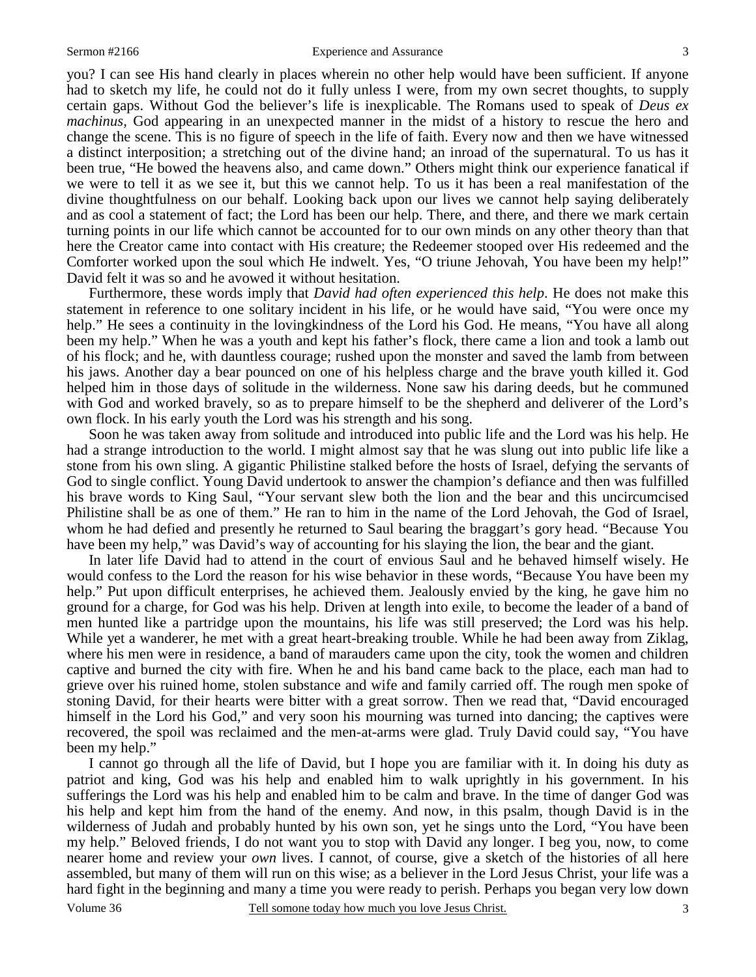you? I can see His hand clearly in places wherein no other help would have been sufficient. If anyone had to sketch my life, he could not do it fully unless I were, from my own secret thoughts, to supply certain gaps. Without God the believer's life is inexplicable. The Romans used to speak of *Deus ex machinus,* God appearing in an unexpected manner in the midst of a history to rescue the hero and change the scene. This is no figure of speech in the life of faith. Every now and then we have witnessed a distinct interposition; a stretching out of the divine hand; an inroad of the supernatural. To us has it been true, "He bowed the heavens also, and came down." Others might think our experience fanatical if we were to tell it as we see it, but this we cannot help. To us it has been a real manifestation of the divine thoughtfulness on our behalf. Looking back upon our lives we cannot help saying deliberately and as cool a statement of fact; the Lord has been our help. There, and there, and there we mark certain turning points in our life which cannot be accounted for to our own minds on any other theory than that here the Creator came into contact with His creature; the Redeemer stooped over His redeemed and the Comforter worked upon the soul which He indwelt. Yes, "O triune Jehovah, You have been my help!" David felt it was so and he avowed it without hesitation.

 Furthermore, these words imply that *David had often experienced this help*. He does not make this statement in reference to one solitary incident in his life, or he would have said, "You were once my help." He sees a continuity in the lovingkindness of the Lord his God. He means, "You have all along been my help." When he was a youth and kept his father's flock, there came a lion and took a lamb out of his flock; and he, with dauntless courage; rushed upon the monster and saved the lamb from between his jaws. Another day a bear pounced on one of his helpless charge and the brave youth killed it. God helped him in those days of solitude in the wilderness. None saw his daring deeds, but he communed with God and worked bravely, so as to prepare himself to be the shepherd and deliverer of the Lord's own flock. In his early youth the Lord was his strength and his song.

 Soon he was taken away from solitude and introduced into public life and the Lord was his help. He had a strange introduction to the world. I might almost say that he was slung out into public life like a stone from his own sling. A gigantic Philistine stalked before the hosts of Israel, defying the servants of God to single conflict. Young David undertook to answer the champion's defiance and then was fulfilled his brave words to King Saul, "Your servant slew both the lion and the bear and this uncircumcised Philistine shall be as one of them." He ran to him in the name of the Lord Jehovah, the God of Israel, whom he had defied and presently he returned to Saul bearing the braggart's gory head. "Because You have been my help," was David's way of accounting for his slaying the lion, the bear and the giant.

 In later life David had to attend in the court of envious Saul and he behaved himself wisely. He would confess to the Lord the reason for his wise behavior in these words, "Because You have been my help." Put upon difficult enterprises, he achieved them. Jealously envied by the king, he gave him no ground for a charge, for God was his help. Driven at length into exile, to become the leader of a band of men hunted like a partridge upon the mountains, his life was still preserved; the Lord was his help. While yet a wanderer, he met with a great heart-breaking trouble. While he had been away from Ziklag, where his men were in residence, a band of marauders came upon the city, took the women and children captive and burned the city with fire. When he and his band came back to the place, each man had to grieve over his ruined home, stolen substance and wife and family carried off. The rough men spoke of stoning David, for their hearts were bitter with a great sorrow. Then we read that, "David encouraged himself in the Lord his God," and very soon his mourning was turned into dancing; the captives were recovered, the spoil was reclaimed and the men-at-arms were glad. Truly David could say, "You have been my help."

3 I cannot go through all the life of David, but I hope you are familiar with it. In doing his duty as patriot and king, God was his help and enabled him to walk uprightly in his government. In his sufferings the Lord was his help and enabled him to be calm and brave. In the time of danger God was his help and kept him from the hand of the enemy. And now, in this psalm, though David is in the wilderness of Judah and probably hunted by his own son, yet he sings unto the Lord, "You have been my help." Beloved friends, I do not want you to stop with David any longer. I beg you, now, to come nearer home and review your *own* lives. I cannot, of course, give a sketch of the histories of all here assembled, but many of them will run on this wise; as a believer in the Lord Jesus Christ, your life was a hard fight in the beginning and many a time you were ready to perish. Perhaps you began very low down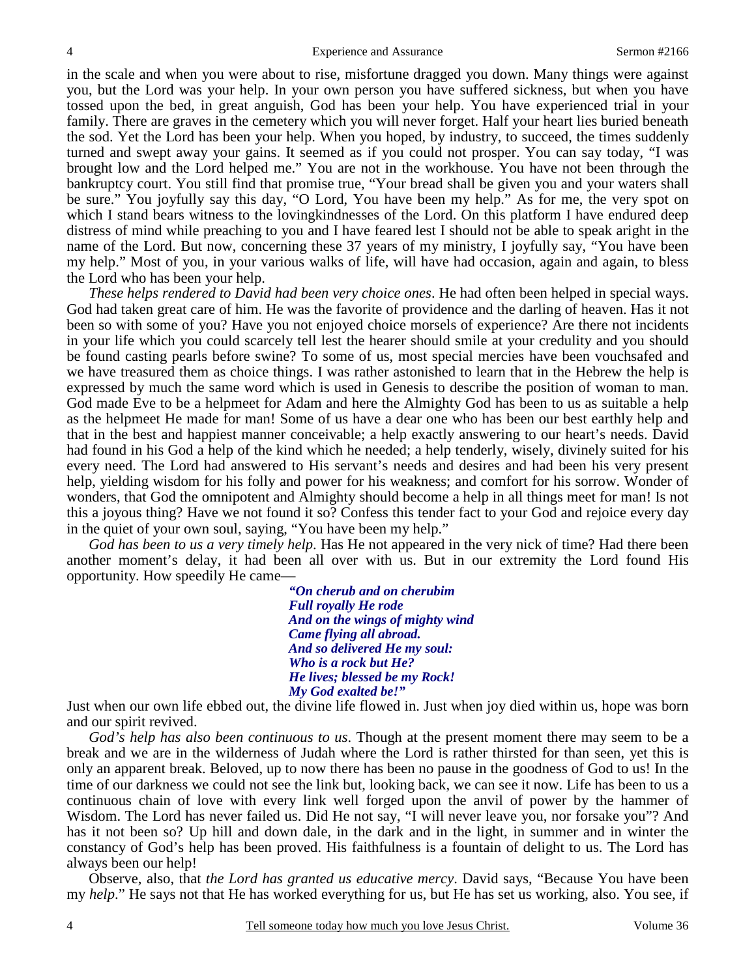in the scale and when you were about to rise, misfortune dragged you down. Many things were against you, but the Lord was your help. In your own person you have suffered sickness, but when you have tossed upon the bed, in great anguish, God has been your help. You have experienced trial in your family. There are graves in the cemetery which you will never forget. Half your heart lies buried beneath the sod. Yet the Lord has been your help. When you hoped, by industry, to succeed, the times suddenly turned and swept away your gains. It seemed as if you could not prosper. You can say today, "I was brought low and the Lord helped me." You are not in the workhouse. You have not been through the bankruptcy court. You still find that promise true, "Your bread shall be given you and your waters shall be sure." You joyfully say this day, "O Lord, You have been my help." As for me, the very spot on which I stand bears witness to the loving kindnesses of the Lord. On this platform I have endured deep distress of mind while preaching to you and I have feared lest I should not be able to speak aright in the name of the Lord. But now, concerning these 37 years of my ministry, I joyfully say, "You have been my help." Most of you, in your various walks of life, will have had occasion, again and again, to bless the Lord who has been your help.

*These helps rendered to David had been very choice ones*. He had often been helped in special ways. God had taken great care of him. He was the favorite of providence and the darling of heaven. Has it not been so with some of you? Have you not enjoyed choice morsels of experience? Are there not incidents in your life which you could scarcely tell lest the hearer should smile at your credulity and you should be found casting pearls before swine? To some of us, most special mercies have been vouchsafed and we have treasured them as choice things. I was rather astonished to learn that in the Hebrew the help is expressed by much the same word which is used in Genesis to describe the position of woman to man. God made Eve to be a helpmeet for Adam and here the Almighty God has been to us as suitable a help as the helpmeet He made for man! Some of us have a dear one who has been our best earthly help and that in the best and happiest manner conceivable; a help exactly answering to our heart's needs. David had found in his God a help of the kind which he needed; a help tenderly, wisely, divinely suited for his every need. The Lord had answered to His servant's needs and desires and had been his very present help, yielding wisdom for his folly and power for his weakness; and comfort for his sorrow. Wonder of wonders, that God the omnipotent and Almighty should become a help in all things meet for man! Is not this a joyous thing? Have we not found it so? Confess this tender fact to your God and rejoice every day in the quiet of your own soul, saying, "You have been my help."

*God has been to us a very timely help*. Has He not appeared in the very nick of time? Had there been another moment's delay, it had been all over with us. But in our extremity the Lord found His opportunity. How speedily He came—

> *"On cherub and on cherubim Full royally He rode And on the wings of mighty wind Came flying all abroad. And so delivered He my soul: Who is a rock but He? He lives; blessed be my Rock! My God exalted be!"*

Just when our own life ebbed out, the divine life flowed in. Just when joy died within us, hope was born and our spirit revived.

*God's help has also been continuous to us*. Though at the present moment there may seem to be a break and we are in the wilderness of Judah where the Lord is rather thirsted for than seen, yet this is only an apparent break. Beloved, up to now there has been no pause in the goodness of God to us! In the time of our darkness we could not see the link but, looking back, we can see it now. Life has been to us a continuous chain of love with every link well forged upon the anvil of power by the hammer of Wisdom. The Lord has never failed us. Did He not say, "I will never leave you, nor forsake you"? And has it not been so? Up hill and down dale, in the dark and in the light, in summer and in winter the constancy of God's help has been proved. His faithfulness is a fountain of delight to us. The Lord has always been our help!

 Observe, also, that *the Lord has granted us educative mercy*. David says, "Because You have been my *help*." He says not that He has worked everything for us, but He has set us working, also. You see, if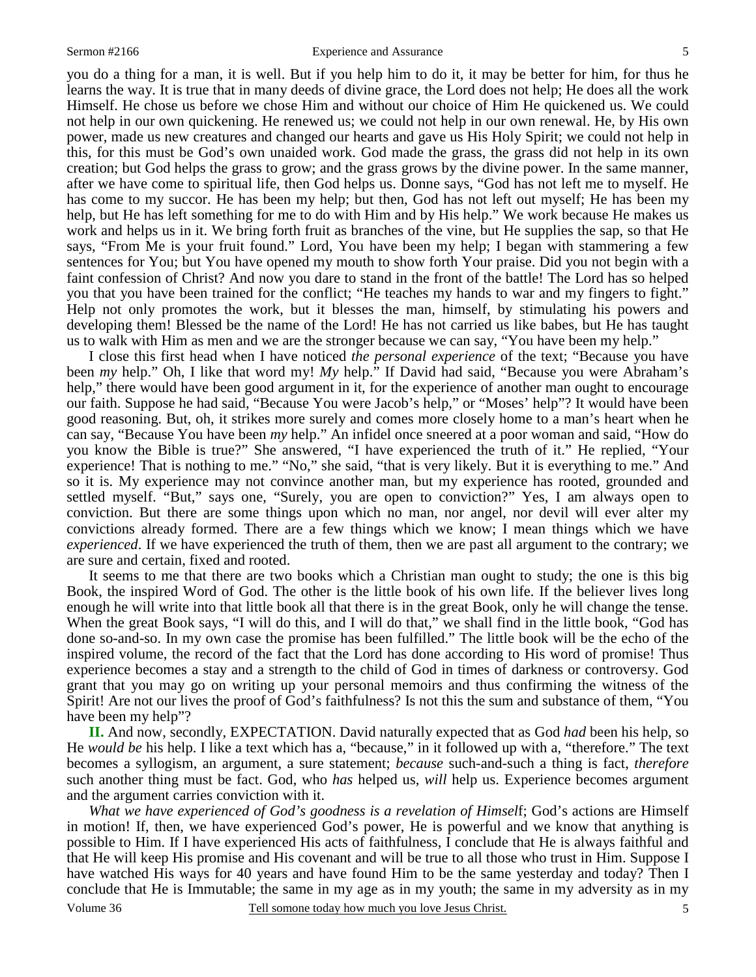you do a thing for a man, it is well. But if you help him to do it, it may be better for him, for thus he learns the way. It is true that in many deeds of divine grace, the Lord does not help; He does all the work Himself. He chose us before we chose Him and without our choice of Him He quickened us. We could not help in our own quickening. He renewed us; we could not help in our own renewal. He, by His own power, made us new creatures and changed our hearts and gave us His Holy Spirit; we could not help in this, for this must be God's own unaided work. God made the grass, the grass did not help in its own creation; but God helps the grass to grow; and the grass grows by the divine power. In the same manner, after we have come to spiritual life, then God helps us. Donne says, "God has not left me to myself. He has come to my succor. He has been my help; but then, God has not left out myself; He has been my help, but He has left something for me to do with Him and by His help." We work because He makes us work and helps us in it. We bring forth fruit as branches of the vine, but He supplies the sap, so that He says, "From Me is your fruit found." Lord, You have been my help; I began with stammering a few sentences for You; but You have opened my mouth to show forth Your praise. Did you not begin with a faint confession of Christ? And now you dare to stand in the front of the battle! The Lord has so helped you that you have been trained for the conflict; "He teaches my hands to war and my fingers to fight." Help not only promotes the work, but it blesses the man, himself, by stimulating his powers and developing them! Blessed be the name of the Lord! He has not carried us like babes, but He has taught us to walk with Him as men and we are the stronger because we can say, "You have been my help."

 I close this first head when I have noticed *the personal experience* of the text; "Because you have been *my* help." Oh, I like that word my! *My* help." If David had said, "Because you were Abraham's help," there would have been good argument in it, for the experience of another man ought to encourage our faith. Suppose he had said, "Because You were Jacob's help," or "Moses' help"? It would have been good reasoning. But, oh, it strikes more surely and comes more closely home to a man's heart when he can say, "Because You have been *my* help." An infidel once sneered at a poor woman and said, "How do you know the Bible is true?" She answered, "I have experienced the truth of it." He replied, "Your experience! That is nothing to me." "No," she said, "that is very likely. But it is everything to me." And so it is. My experience may not convince another man, but my experience has rooted, grounded and settled myself. "But," says one, "Surely, you are open to conviction?" Yes, I am always open to conviction. But there are some things upon which no man, nor angel, nor devil will ever alter my convictions already formed. There are a few things which we know; I mean things which we have *experienced*. If we have experienced the truth of them, then we are past all argument to the contrary; we are sure and certain, fixed and rooted.

 It seems to me that there are two books which a Christian man ought to study; the one is this big Book, the inspired Word of God. The other is the little book of his own life. If the believer lives long enough he will write into that little book all that there is in the great Book, only he will change the tense. When the great Book says, "I will do this, and I will do that," we shall find in the little book, "God has done so-and-so. In my own case the promise has been fulfilled." The little book will be the echo of the inspired volume, the record of the fact that the Lord has done according to His word of promise! Thus experience becomes a stay and a strength to the child of God in times of darkness or controversy. God grant that you may go on writing up your personal memoirs and thus confirming the witness of the Spirit! Are not our lives the proof of God's faithfulness? Is not this the sum and substance of them, "You have been my help"?

**II.** And now, secondly, EXPECTATION. David naturally expected that as God *had* been his help, so He *would be* his help. I like a text which has a, "because," in it followed up with a, "therefore." The text becomes a syllogism, an argument, a sure statement; *because* such-and-such a thing is fact, *therefore* such another thing must be fact. God, who *has* helped us, *will* help us. Experience becomes argument and the argument carries conviction with it.

*What we have experienced of God's goodness is a revelation of Himsel*f; God's actions are Himself in motion! If, then, we have experienced God's power, He is powerful and we know that anything is possible to Him. If I have experienced His acts of faithfulness, I conclude that He is always faithful and that He will keep His promise and His covenant and will be true to all those who trust in Him. Suppose I have watched His ways for 40 years and have found Him to be the same yesterday and today? Then I conclude that He is Immutable; the same in my age as in my youth; the same in my adversity as in my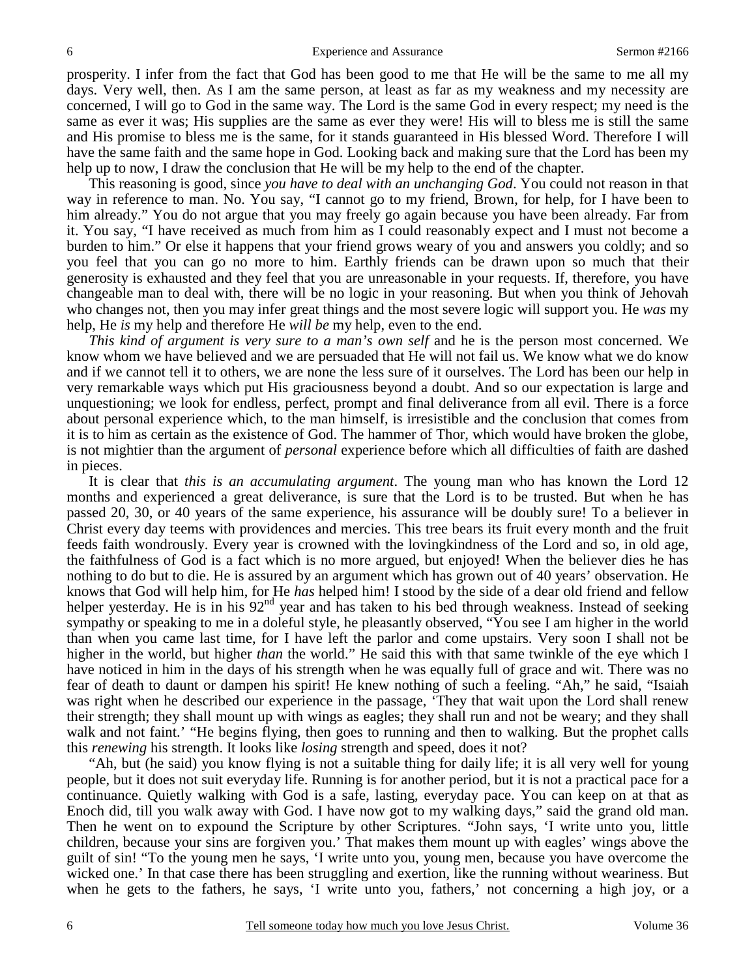prosperity. I infer from the fact that God has been good to me that He will be the same to me all my days. Very well, then. As I am the same person, at least as far as my weakness and my necessity are concerned, I will go to God in the same way. The Lord is the same God in every respect; my need is the same as ever it was; His supplies are the same as ever they were! His will to bless me is still the same and His promise to bless me is the same, for it stands guaranteed in His blessed Word. Therefore I will have the same faith and the same hope in God. Looking back and making sure that the Lord has been my help up to now, I draw the conclusion that He will be my help to the end of the chapter.

 This reasoning is good, since *you have to deal with an unchanging God*. You could not reason in that way in reference to man. No. You say, "I cannot go to my friend, Brown, for help, for I have been to him already." You do not argue that you may freely go again because you have been already. Far from it. You say, "I have received as much from him as I could reasonably expect and I must not become a burden to him." Or else it happens that your friend grows weary of you and answers you coldly; and so you feel that you can go no more to him. Earthly friends can be drawn upon so much that their generosity is exhausted and they feel that you are unreasonable in your requests. If, therefore, you have changeable man to deal with, there will be no logic in your reasoning. But when you think of Jehovah who changes not, then you may infer great things and the most severe logic will support you. He *was* my help, He *is* my help and therefore He *will be* my help, even to the end.

*This kind of argument is very sure to a man's own self* and he is the person most concerned. We know whom we have believed and we are persuaded that He will not fail us. We know what we do know and if we cannot tell it to others, we are none the less sure of it ourselves. The Lord has been our help in very remarkable ways which put His graciousness beyond a doubt. And so our expectation is large and unquestioning; we look for endless, perfect, prompt and final deliverance from all evil. There is a force about personal experience which, to the man himself, is irresistible and the conclusion that comes from it is to him as certain as the existence of God. The hammer of Thor, which would have broken the globe, is not mightier than the argument of *personal* experience before which all difficulties of faith are dashed in pieces.

 It is clear that *this is an accumulating argument*. The young man who has known the Lord 12 months and experienced a great deliverance, is sure that the Lord is to be trusted. But when he has passed 20, 30, or 40 years of the same experience, his assurance will be doubly sure! To a believer in Christ every day teems with providences and mercies. This tree bears its fruit every month and the fruit feeds faith wondrously. Every year is crowned with the lovingkindness of the Lord and so, in old age, the faithfulness of God is a fact which is no more argued, but enjoyed! When the believer dies he has nothing to do but to die. He is assured by an argument which has grown out of 40 years' observation. He knows that God will help him, for He *has* helped him! I stood by the side of a dear old friend and fellow helper yesterday. He is in his  $92<sup>nd</sup>$  year and has taken to his bed through weakness. Instead of seeking sympathy or speaking to me in a doleful style, he pleasantly observed, "You see I am higher in the world than when you came last time, for I have left the parlor and come upstairs. Very soon I shall not be higher in the world, but higher *than* the world." He said this with that same twinkle of the eye which I have noticed in him in the days of his strength when he was equally full of grace and wit. There was no fear of death to daunt or dampen his spirit! He knew nothing of such a feeling. "Ah," he said, "Isaiah was right when he described our experience in the passage, 'They that wait upon the Lord shall renew their strength; they shall mount up with wings as eagles; they shall run and not be weary; and they shall walk and not faint.' "He begins flying, then goes to running and then to walking. But the prophet calls this *renewing* his strength. It looks like *losing* strength and speed, does it not?

 "Ah, but (he said) you know flying is not a suitable thing for daily life; it is all very well for young people, but it does not suit everyday life. Running is for another period, but it is not a practical pace for a continuance. Quietly walking with God is a safe, lasting, everyday pace. You can keep on at that as Enoch did, till you walk away with God. I have now got to my walking days," said the grand old man. Then he went on to expound the Scripture by other Scriptures. "John says, 'I write unto you, little children, because your sins are forgiven you.' That makes them mount up with eagles' wings above the guilt of sin! "To the young men he says, 'I write unto you, young men, because you have overcome the wicked one.' In that case there has been struggling and exertion, like the running without weariness. But when he gets to the fathers, he says, 'I write unto you, fathers,' not concerning a high joy, or a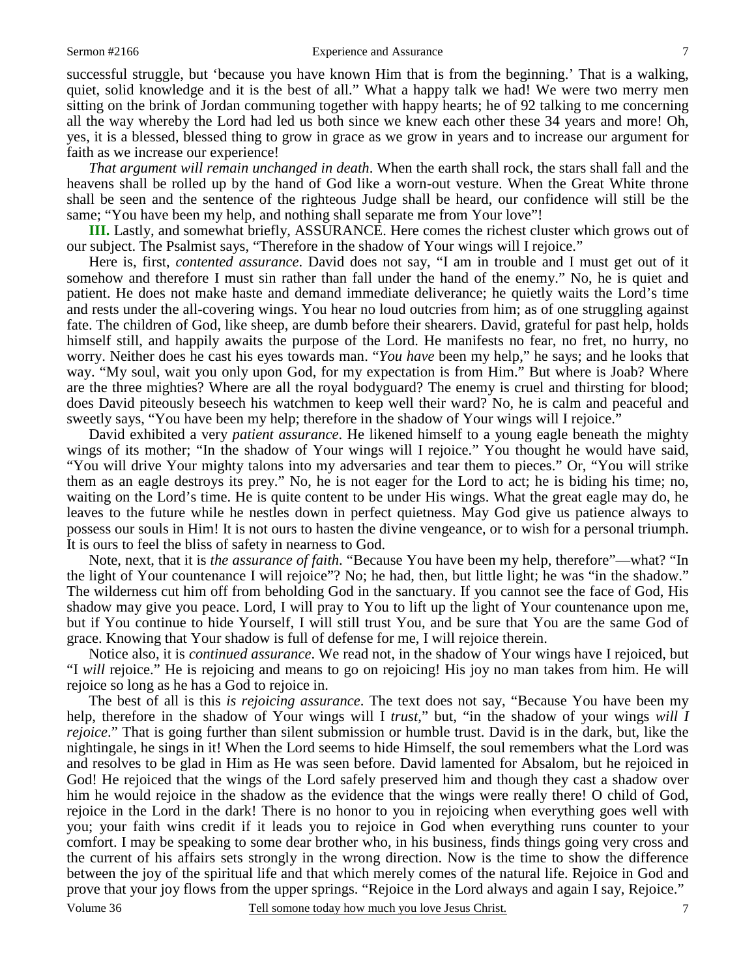successful struggle, but 'because you have known Him that is from the beginning.' That is a walking, quiet, solid knowledge and it is the best of all." What a happy talk we had! We were two merry men sitting on the brink of Jordan communing together with happy hearts; he of 92 talking to me concerning all the way whereby the Lord had led us both since we knew each other these 34 years and more! Oh, yes, it is a blessed, blessed thing to grow in grace as we grow in years and to increase our argument for faith as we increase our experience!

*That argument will remain unchanged in death*. When the earth shall rock, the stars shall fall and the heavens shall be rolled up by the hand of God like a worn-out vesture. When the Great White throne shall be seen and the sentence of the righteous Judge shall be heard, our confidence will still be the same; "You have been my help, and nothing shall separate me from Your love"!

**III.** Lastly, and somewhat briefly, ASSURANCE. Here comes the richest cluster which grows out of our subject. The Psalmist says, "Therefore in the shadow of Your wings will I rejoice."

 Here is, first, *contented assurance*. David does not say, "I am in trouble and I must get out of it somehow and therefore I must sin rather than fall under the hand of the enemy." No, he is quiet and patient. He does not make haste and demand immediate deliverance; he quietly waits the Lord's time and rests under the all-covering wings. You hear no loud outcries from him; as of one struggling against fate. The children of God, like sheep, are dumb before their shearers. David, grateful for past help, holds himself still, and happily awaits the purpose of the Lord. He manifests no fear, no fret, no hurry, no worry. Neither does he cast his eyes towards man. "*You have* been my help," he says; and he looks that way. "My soul, wait you only upon God, for my expectation is from Him." But where is Joab? Where are the three mighties? Where are all the royal bodyguard? The enemy is cruel and thirsting for blood; does David piteously beseech his watchmen to keep well their ward? No, he is calm and peaceful and sweetly says, "You have been my help; therefore in the shadow of Your wings will I rejoice."

 David exhibited a very *patient assurance*. He likened himself to a young eagle beneath the mighty wings of its mother; "In the shadow of Your wings will I rejoice." You thought he would have said, "You will drive Your mighty talons into my adversaries and tear them to pieces." Or, "You will strike them as an eagle destroys its prey." No, he is not eager for the Lord to act; he is biding his time; no, waiting on the Lord's time. He is quite content to be under His wings. What the great eagle may do, he leaves to the future while he nestles down in perfect quietness. May God give us patience always to possess our souls in Him! It is not ours to hasten the divine vengeance, or to wish for a personal triumph. It is ours to feel the bliss of safety in nearness to God.

 Note, next, that it is *the assurance of faith*. "Because You have been my help, therefore"—what? "In the light of Your countenance I will rejoice"? No; he had, then, but little light; he was "in the shadow." The wilderness cut him off from beholding God in the sanctuary. If you cannot see the face of God, His shadow may give you peace. Lord, I will pray to You to lift up the light of Your countenance upon me, but if You continue to hide Yourself, I will still trust You, and be sure that You are the same God of grace. Knowing that Your shadow is full of defense for me, I will rejoice therein.

 Notice also, it is *continued assurance*. We read not, in the shadow of Your wings have I rejoiced, but "I *will* rejoice." He is rejoicing and means to go on rejoicing! His joy no man takes from him. He will rejoice so long as he has a God to rejoice in.

7 The best of all is this *is rejoicing assurance*. The text does not say, "Because You have been my help, therefore in the shadow of Your wings will I *trust*," but, "in the shadow of your wings *will I rejoice*." That is going further than silent submission or humble trust. David is in the dark, but, like the nightingale, he sings in it! When the Lord seems to hide Himself, the soul remembers what the Lord was and resolves to be glad in Him as He was seen before. David lamented for Absalom, but he rejoiced in God! He rejoiced that the wings of the Lord safely preserved him and though they cast a shadow over him he would rejoice in the shadow as the evidence that the wings were really there! O child of God, rejoice in the Lord in the dark! There is no honor to you in rejoicing when everything goes well with you; your faith wins credit if it leads you to rejoice in God when everything runs counter to your comfort. I may be speaking to some dear brother who, in his business, finds things going very cross and the current of his affairs sets strongly in the wrong direction. Now is the time to show the difference between the joy of the spiritual life and that which merely comes of the natural life. Rejoice in God and prove that your joy flows from the upper springs. "Rejoice in the Lord always and again I say, Rejoice."